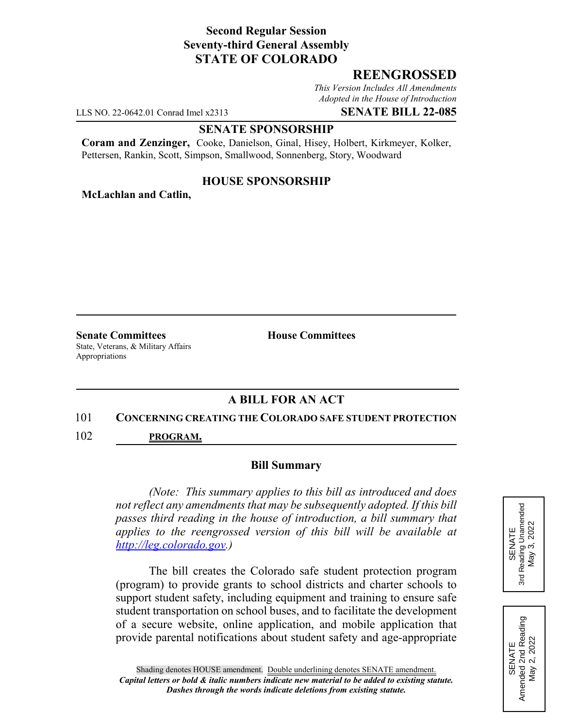# **Second Regular Session Seventy-third General Assembly STATE OF COLORADO**

## **REENGROSSED**

*This Version Includes All Amendments Adopted in the House of Introduction*

LLS NO. 22-0642.01 Conrad Imel x2313 **SENATE BILL 22-085**

#### **SENATE SPONSORSHIP**

**Coram and Zenzinger,** Cooke, Danielson, Ginal, Hisey, Holbert, Kirkmeyer, Kolker, Pettersen, Rankin, Scott, Simpson, Smallwood, Sonnenberg, Story, Woodward

## **HOUSE SPONSORSHIP**

**McLachlan and Catlin,**

**Senate Committees House Committees** State, Veterans, & Military Affairs Appropriations

# **A BILL FOR AN ACT**

#### 101 **CONCERNING CREATING THE COLORADO SAFE STUDENT PROTECTION**

102 **PROGRAM.**

#### **Bill Summary**

*(Note: This summary applies to this bill as introduced and does not reflect any amendments that may be subsequently adopted. If this bill passes third reading in the house of introduction, a bill summary that applies to the reengrossed version of this bill will be available at http://leg.colorado.gov.)*

The bill creates the Colorado safe student protection program (program) to provide grants to school districts and charter schools to support student safety, including equipment and training to ensure safe student transportation on school buses, and to facilitate the development of a secure website, online application, and mobile application that provide parental notifications about student safety and age-appropriate



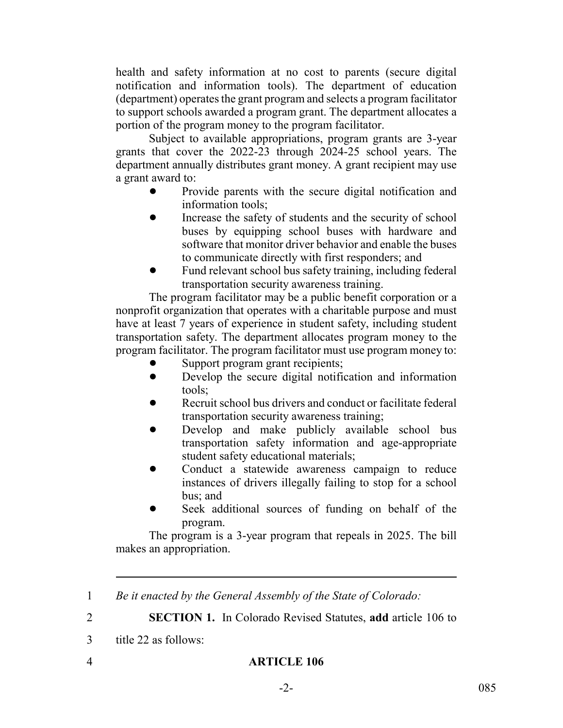health and safety information at no cost to parents (secure digital notification and information tools). The department of education (department) operates the grant program and selects a program facilitator to support schools awarded a program grant. The department allocates a portion of the program money to the program facilitator.

Subject to available appropriations, program grants are 3-year grants that cover the 2022-23 through 2024-25 school years. The department annually distributes grant money. A grant recipient may use a grant award to:

- ! Provide parents with the secure digital notification and information tools;
- Increase the safety of students and the security of school buses by equipping school buses with hardware and software that monitor driver behavior and enable the buses to communicate directly with first responders; and
- Fund relevant school bus safety training, including federal transportation security awareness training.

The program facilitator may be a public benefit corporation or a nonprofit organization that operates with a charitable purpose and must have at least 7 years of experience in student safety, including student transportation safety. The department allocates program money to the program facilitator. The program facilitator must use program money to:

- Support program grant recipients;
- Develop the secure digital notification and information tools;
- Recruit school bus drivers and conduct or facilitate federal transportation security awareness training;
- Develop and make publicly available school bus transportation safety information and age-appropriate student safety educational materials;
- Conduct a statewide awareness campaign to reduce instances of drivers illegally failing to stop for a school bus; and
- Seek additional sources of funding on behalf of the program.

The program is a 3-year program that repeals in 2025. The bill makes an appropriation.

- 1 *Be it enacted by the General Assembly of the State of Colorado:*
- 

2 **SECTION 1.** In Colorado Revised Statutes, **add** article 106 to

- 3 title 22 as follows:
-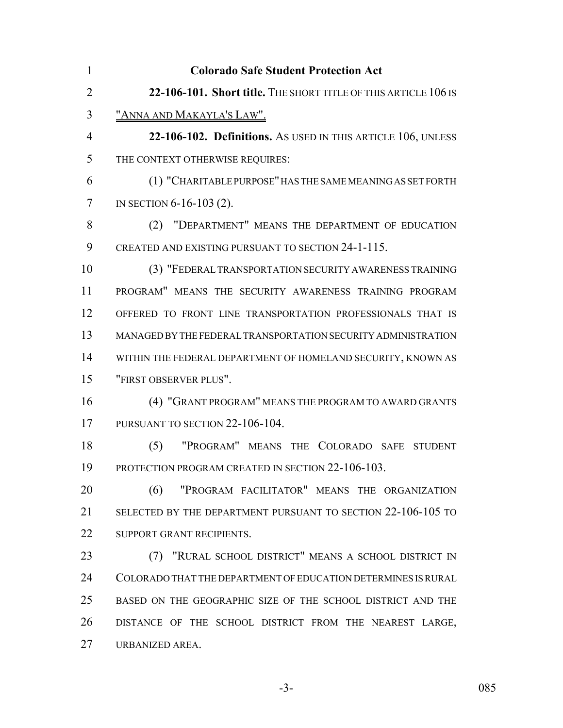| $\mathbf{1}$   | <b>Colorado Safe Student Protection Act</b>                     |
|----------------|-----------------------------------------------------------------|
| $\overline{2}$ | 22-106-101. Short title. THE SHORT TITLE OF THIS ARTICLE 106 IS |
| 3              | <u>"ANNA AND MAKAYLA'S LAW".</u>                                |
| $\overline{4}$ | 22-106-102. Definitions. As USED IN THIS ARTICLE 106, UNLESS    |
| 5              | THE CONTEXT OTHERWISE REQUIRES:                                 |
| 6              | (1) "CHARITABLE PURPOSE" HAS THE SAME MEANING AS SET FORTH      |
| $\tau$         | IN SECTION 6-16-103 (2).                                        |
| 8              | "DEPARTMENT" MEANS THE DEPARTMENT OF EDUCATION<br>(2)           |
| 9              | CREATED AND EXISTING PURSUANT TO SECTION 24-1-115.              |
| 10             | (3) "FEDERAL TRANSPORTATION SECURITY AWARENESS TRAINING         |
| 11             | PROGRAM" MEANS THE SECURITY AWARENESS TRAINING PROGRAM          |
| 12             | OFFERED TO FRONT LINE TRANSPORTATION PROFESSIONALS THAT IS      |
| 13             | MANAGED BY THE FEDERAL TRANSPORTATION SECURITY ADMINISTRATION   |
| 14             | WITHIN THE FEDERAL DEPARTMENT OF HOMELAND SECURITY, KNOWN AS    |
| 15             | "FIRST OBSERVER PLUS".                                          |
| 16             | (4) "GRANT PROGRAM" MEANS THE PROGRAM TO AWARD GRANTS           |
| 17             | PURSUANT TO SECTION 22-106-104.                                 |
| 18             | (5)<br>"PROGRAM" MEANS THE COLORADO SAFE STUDENT                |
| 19             | PROTECTION PROGRAM CREATED IN SECTION 22-106-103.               |
| 20             | "PROGRAM FACILITATOR" MEANS THE ORGANIZATION<br>(6)             |
| 21             | SELECTED BY THE DEPARTMENT PURSUANT TO SECTION 22-106-105 TO    |
| 22             | SUPPORT GRANT RECIPIENTS.                                       |
| 23             | (7) "RURAL SCHOOL DISTRICT" MEANS A SCHOOL DISTRICT IN          |
| 24             | COLORADO THAT THE DEPARTMENT OF EDUCATION DETERMINES IS RURAL   |
| 25             | BASED ON THE GEOGRAPHIC SIZE OF THE SCHOOL DISTRICT AND THE     |
| 26             | DISTANCE OF THE SCHOOL DISTRICT FROM THE NEAREST LARGE,         |
| 27             | URBANIZED AREA.                                                 |

-3- 085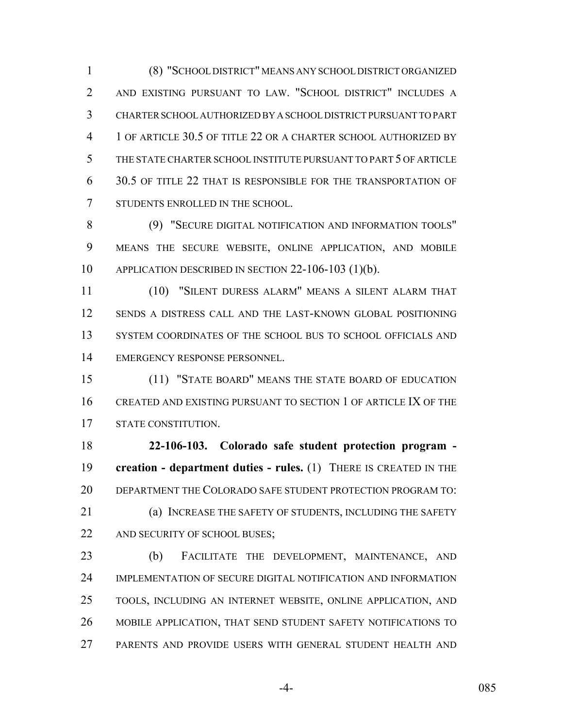(8) "SCHOOL DISTRICT" MEANS ANY SCHOOL DISTRICT ORGANIZED AND EXISTING PURSUANT TO LAW. "SCHOOL DISTRICT" INCLUDES A CHARTER SCHOOL AUTHORIZED BY A SCHOOL DISTRICT PURSUANT TO PART 1 OF ARTICLE 30.5 OF TITLE 22 OR A CHARTER SCHOOL AUTHORIZED BY THE STATE CHARTER SCHOOL INSTITUTE PURSUANT TO PART 5 OF ARTICLE 30.5 OF TITLE 22 THAT IS RESPONSIBLE FOR THE TRANSPORTATION OF STUDENTS ENROLLED IN THE SCHOOL.

 (9) "SECURE DIGITAL NOTIFICATION AND INFORMATION TOOLS" MEANS THE SECURE WEBSITE, ONLINE APPLICATION, AND MOBILE APPLICATION DESCRIBED IN SECTION 22-106-103 (1)(b).

 (10) "SILENT DURESS ALARM" MEANS A SILENT ALARM THAT SENDS A DISTRESS CALL AND THE LAST-KNOWN GLOBAL POSITIONING SYSTEM COORDINATES OF THE SCHOOL BUS TO SCHOOL OFFICIALS AND EMERGENCY RESPONSE PERSONNEL.

 (11) "STATE BOARD" MEANS THE STATE BOARD OF EDUCATION CREATED AND EXISTING PURSUANT TO SECTION 1 OF ARTICLE IX OF THE STATE CONSTITUTION.

 **22-106-103. Colorado safe student protection program - creation - department duties - rules.** (1) THERE IS CREATED IN THE DEPARTMENT THE COLORADO SAFE STUDENT PROTECTION PROGRAM TO: (a) INCREASE THE SAFETY OF STUDENTS, INCLUDING THE SAFETY

22 AND SECURITY OF SCHOOL BUSES;

 (b) FACILITATE THE DEVELOPMENT, MAINTENANCE, AND IMPLEMENTATION OF SECURE DIGITAL NOTIFICATION AND INFORMATION TOOLS, INCLUDING AN INTERNET WEBSITE, ONLINE APPLICATION, AND MOBILE APPLICATION, THAT SEND STUDENT SAFETY NOTIFICATIONS TO PARENTS AND PROVIDE USERS WITH GENERAL STUDENT HEALTH AND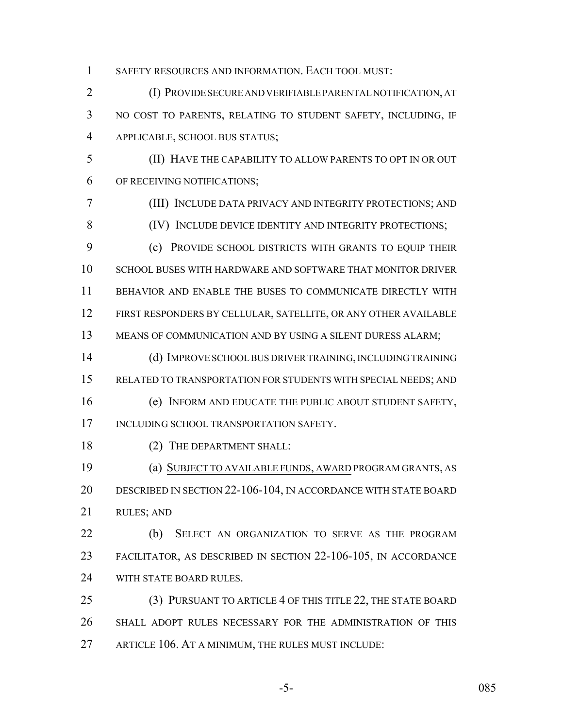SAFETY RESOURCES AND INFORMATION. EACH TOOL MUST:

 (I) PROVIDE SECURE AND VERIFIABLE PARENTAL NOTIFICATION, AT NO COST TO PARENTS, RELATING TO STUDENT SAFETY, INCLUDING, IF APPLICABLE, SCHOOL BUS STATUS;

 (II) HAVE THE CAPABILITY TO ALLOW PARENTS TO OPT IN OR OUT OF RECEIVING NOTIFICATIONS;

 (III) INCLUDE DATA PRIVACY AND INTEGRITY PROTECTIONS; AND 8 (IV) INCLUDE DEVICE IDENTITY AND INTEGRITY PROTECTIONS; (c) PROVIDE SCHOOL DISTRICTS WITH GRANTS TO EQUIP THEIR SCHOOL BUSES WITH HARDWARE AND SOFTWARE THAT MONITOR DRIVER BEHAVIOR AND ENABLE THE BUSES TO COMMUNICATE DIRECTLY WITH FIRST RESPONDERS BY CELLULAR, SATELLITE, OR ANY OTHER AVAILABLE 13 MEANS OF COMMUNICATION AND BY USING A SILENT DURESS ALARM;

 (d) IMPROVE SCHOOL BUS DRIVER TRAINING, INCLUDING TRAINING RELATED TO TRANSPORTATION FOR STUDENTS WITH SPECIAL NEEDS; AND

 (e) INFORM AND EDUCATE THE PUBLIC ABOUT STUDENT SAFETY, 17 INCLUDING SCHOOL TRANSPORTATION SAFETY.

18 (2) THE DEPARTMENT SHALL:

 (a) SUBJECT TO AVAILABLE FUNDS, AWARD PROGRAM GRANTS, AS DESCRIBED IN SECTION 22-106-104, IN ACCORDANCE WITH STATE BOARD RULES; AND

 (b) SELECT AN ORGANIZATION TO SERVE AS THE PROGRAM FACILITATOR, AS DESCRIBED IN SECTION 22-106-105, IN ACCORDANCE 24 WITH STATE BOARD RULES.

 (3) PURSUANT TO ARTICLE 4 OF THIS TITLE 22, THE STATE BOARD SHALL ADOPT RULES NECESSARY FOR THE ADMINISTRATION OF THIS ARTICLE 106. AT A MINIMUM, THE RULES MUST INCLUDE: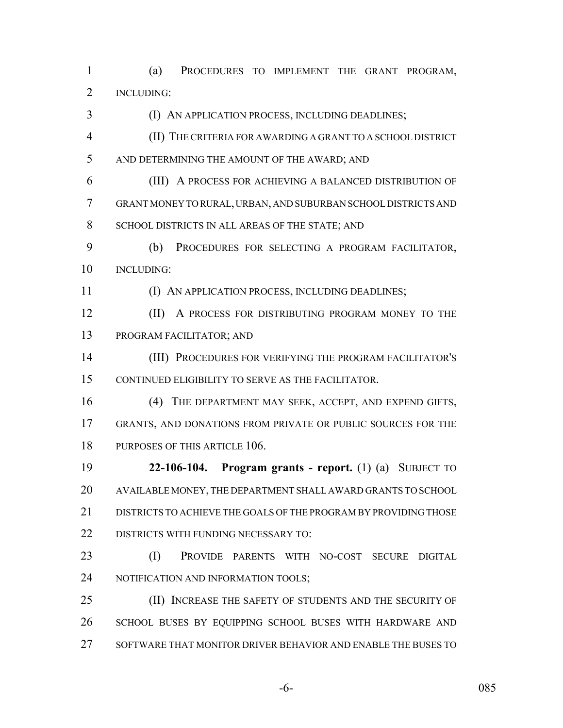(a) PROCEDURES TO IMPLEMENT THE GRANT PROGRAM, INCLUDING:

- 3 (I) AN APPLICATION PROCESS, INCLUDING DEADLINES;
- (II) THE CRITERIA FOR AWARDING A GRANT TO A SCHOOL DISTRICT AND DETERMINING THE AMOUNT OF THE AWARD; AND
- (III) A PROCESS FOR ACHIEVING A BALANCED DISTRIBUTION OF GRANT MONEY TO RURAL, URBAN, AND SUBURBAN SCHOOL DISTRICTS AND 8 SCHOOL DISTRICTS IN ALL AREAS OF THE STATE; AND
- (b) PROCEDURES FOR SELECTING A PROGRAM FACILITATOR, INCLUDING:
- 

11 (I) AN APPLICATION PROCESS, INCLUDING DEADLINES;

- **(II)** A PROCESS FOR DISTRIBUTING PROGRAM MONEY TO THE PROGRAM FACILITATOR; AND
- (III) PROCEDURES FOR VERIFYING THE PROGRAM FACILITATOR'S CONTINUED ELIGIBILITY TO SERVE AS THE FACILITATOR.
- (4) THE DEPARTMENT MAY SEEK, ACCEPT, AND EXPEND GIFTS, GRANTS, AND DONATIONS FROM PRIVATE OR PUBLIC SOURCES FOR THE 18 PURPOSES OF THIS ARTICLE 106.
- **22-106-104. Program grants report.** (1) (a) SUBJECT TO AVAILABLE MONEY, THE DEPARTMENT SHALL AWARD GRANTS TO SCHOOL DISTRICTS TO ACHIEVE THE GOALS OF THE PROGRAM BY PROVIDING THOSE 22 DISTRICTS WITH FUNDING NECESSARY TO:
- (I) PROVIDE PARENTS WITH NO-COST SECURE DIGITAL 24 NOTIFICATION AND INFORMATION TOOLS;
- (II) INCREASE THE SAFETY OF STUDENTS AND THE SECURITY OF SCHOOL BUSES BY EQUIPPING SCHOOL BUSES WITH HARDWARE AND SOFTWARE THAT MONITOR DRIVER BEHAVIOR AND ENABLE THE BUSES TO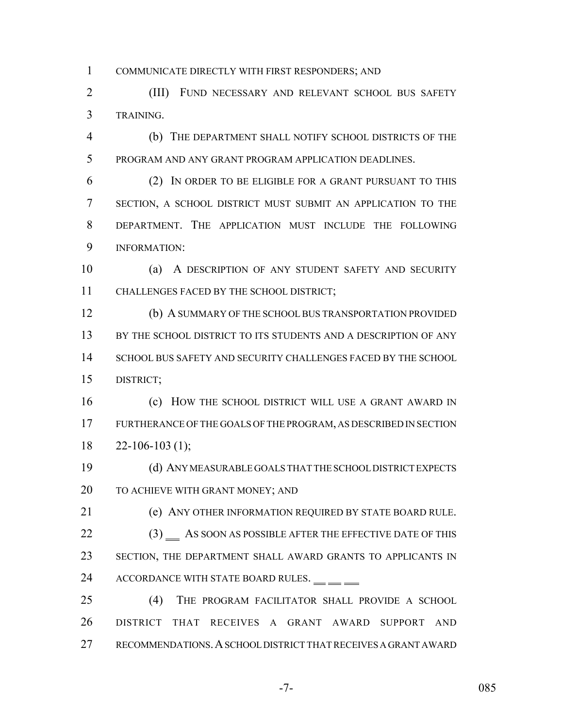COMMUNICATE DIRECTLY WITH FIRST RESPONDERS; AND

 (III) FUND NECESSARY AND RELEVANT SCHOOL BUS SAFETY TRAINING.

 (b) THE DEPARTMENT SHALL NOTIFY SCHOOL DISTRICTS OF THE PROGRAM AND ANY GRANT PROGRAM APPLICATION DEADLINES.

 (2) IN ORDER TO BE ELIGIBLE FOR A GRANT PURSUANT TO THIS SECTION, A SCHOOL DISTRICT MUST SUBMIT AN APPLICATION TO THE DEPARTMENT. THE APPLICATION MUST INCLUDE THE FOLLOWING INFORMATION:

 (a) A DESCRIPTION OF ANY STUDENT SAFETY AND SECURITY CHALLENGES FACED BY THE SCHOOL DISTRICT;

 (b) A SUMMARY OF THE SCHOOL BUS TRANSPORTATION PROVIDED BY THE SCHOOL DISTRICT TO ITS STUDENTS AND A DESCRIPTION OF ANY SCHOOL BUS SAFETY AND SECURITY CHALLENGES FACED BY THE SCHOOL DISTRICT;

**(c) HOW THE SCHOOL DISTRICT WILL USE A GRANT AWARD IN**  FURTHERANCE OF THE GOALS OF THE PROGRAM, AS DESCRIBED IN SECTION  $18 \qquad 22 - 106 - 103 \tag{1};$ 

 (d) ANY MEASURABLE GOALS THAT THE SCHOOL DISTRICT EXPECTS TO ACHIEVE WITH GRANT MONEY; AND

 (e) ANY OTHER INFORMATION REQUIRED BY STATE BOARD RULE. 22 (3) AS SOON AS POSSIBLE AFTER THE EFFECTIVE DATE OF THIS SECTION, THE DEPARTMENT SHALL AWARD GRANTS TO APPLICANTS IN 24 ACCORDANCE WITH STATE BOARD RULES. <u>\_\_</u> \_\_

 (4) THE PROGRAM FACILITATOR SHALL PROVIDE A SCHOOL DISTRICT THAT RECEIVES A GRANT AWARD SUPPORT AND RECOMMENDATIONS.A SCHOOL DISTRICT THAT RECEIVES A GRANT AWARD

-7- 085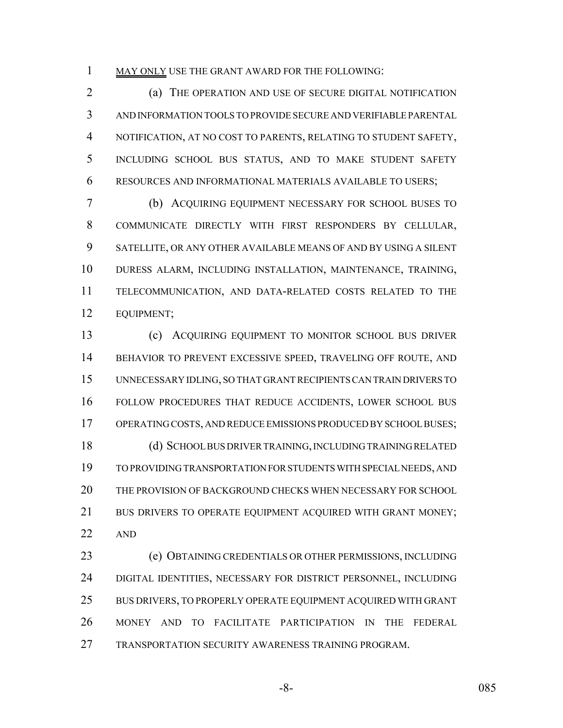1 MAY ONLY USE THE GRANT AWARD FOR THE FOLLOWING:

 (a) THE OPERATION AND USE OF SECURE DIGITAL NOTIFICATION AND INFORMATION TOOLS TO PROVIDE SECURE AND VERIFIABLE PARENTAL NOTIFICATION, AT NO COST TO PARENTS, RELATING TO STUDENT SAFETY, INCLUDING SCHOOL BUS STATUS, AND TO MAKE STUDENT SAFETY RESOURCES AND INFORMATIONAL MATERIALS AVAILABLE TO USERS;

 (b) ACQUIRING EQUIPMENT NECESSARY FOR SCHOOL BUSES TO COMMUNICATE DIRECTLY WITH FIRST RESPONDERS BY CELLULAR, SATELLITE, OR ANY OTHER AVAILABLE MEANS OF AND BY USING A SILENT DURESS ALARM, INCLUDING INSTALLATION, MAINTENANCE, TRAINING, TELECOMMUNICATION, AND DATA-RELATED COSTS RELATED TO THE EQUIPMENT;

 (c) ACQUIRING EQUIPMENT TO MONITOR SCHOOL BUS DRIVER 14 BEHAVIOR TO PREVENT EXCESSIVE SPEED, TRAVELING OFF ROUTE, AND UNNECESSARY IDLING, SO THAT GRANT RECIPIENTS CAN TRAIN DRIVERS TO FOLLOW PROCEDURES THAT REDUCE ACCIDENTS, LOWER SCHOOL BUS OPERATING COSTS, AND REDUCE EMISSIONS PRODUCED BY SCHOOL BUSES; (d) SCHOOL BUS DRIVER TRAINING, INCLUDING TRAINING RELATED TO PROVIDING TRANSPORTATION FOR STUDENTS WITH SPECIAL NEEDS, AND THE PROVISION OF BACKGROUND CHECKS WHEN NECESSARY FOR SCHOOL 21 BUS DRIVERS TO OPERATE EQUIPMENT ACQUIRED WITH GRANT MONEY; AND

 (e) OBTAINING CREDENTIALS OR OTHER PERMISSIONS, INCLUDING DIGITAL IDENTITIES, NECESSARY FOR DISTRICT PERSONNEL, INCLUDING BUS DRIVERS, TO PROPERLY OPERATE EQUIPMENT ACQUIRED WITH GRANT MONEY AND TO FACILITATE PARTICIPATION IN THE FEDERAL TRANSPORTATION SECURITY AWARENESS TRAINING PROGRAM.

-8- 085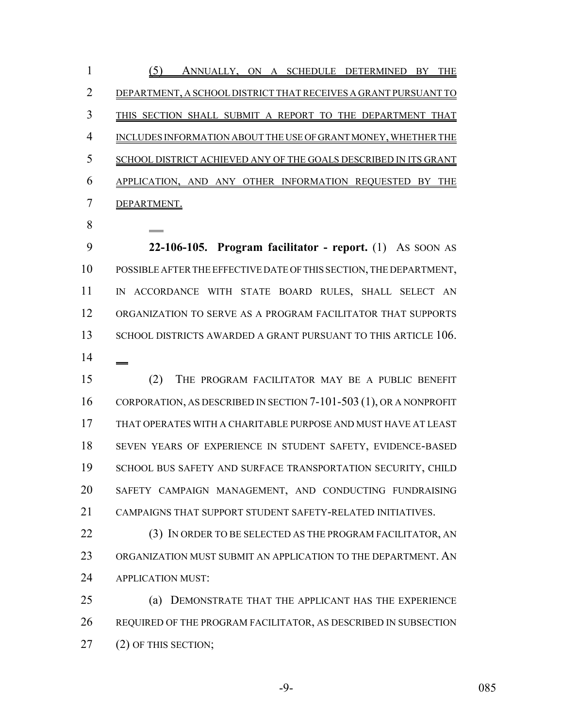(5) ANNUALLY, ON A SCHEDULE DETERMINED BY THE DEPARTMENT, A SCHOOL DISTRICT THAT RECEIVES A GRANT PURSUANT TO THIS SECTION SHALL SUBMIT A REPORT TO THE DEPARTMENT THAT INCLUDES INFORMATION ABOUT THE USE OF GRANT MONEY, WHETHER THE SCHOOL DISTRICT ACHIEVED ANY OF THE GOALS DESCRIBED IN ITS GRANT APPLICATION, AND ANY OTHER INFORMATION REQUESTED BY THE DEPARTMENT.

 **22-106-105. Program facilitator - report.** (1) AS SOON AS POSSIBLE AFTER THE EFFECTIVE DATE OF THIS SECTION, THE DEPARTMENT, IN ACCORDANCE WITH STATE BOARD RULES, SHALL SELECT AN ORGANIZATION TO SERVE AS A PROGRAM FACILITATOR THAT SUPPORTS 13 SCHOOL DISTRICTS AWARDED A GRANT PURSUANT TO THIS ARTICLE 106. 

 (2) THE PROGRAM FACILITATOR MAY BE A PUBLIC BENEFIT 16 CORPORATION, AS DESCRIBED IN SECTION 7-101-503 (1), OR A NONPROFIT THAT OPERATES WITH A CHARITABLE PURPOSE AND MUST HAVE AT LEAST SEVEN YEARS OF EXPERIENCE IN STUDENT SAFETY, EVIDENCE-BASED 19 SCHOOL BUS SAFETY AND SURFACE TRANSPORTATION SECURITY, CHILD SAFETY CAMPAIGN MANAGEMENT, AND CONDUCTING FUNDRAISING 21 CAMPAIGNS THAT SUPPORT STUDENT SAFETY-RELATED INITIATIVES.

22 (3) IN ORDER TO BE SELECTED AS THE PROGRAM FACILITATOR, AN ORGANIZATION MUST SUBMIT AN APPLICATION TO THE DEPARTMENT. AN APPLICATION MUST:

 (a) DEMONSTRATE THAT THE APPLICANT HAS THE EXPERIENCE REQUIRED OF THE PROGRAM FACILITATOR, AS DESCRIBED IN SUBSECTION 27 (2) OF THIS SECTION;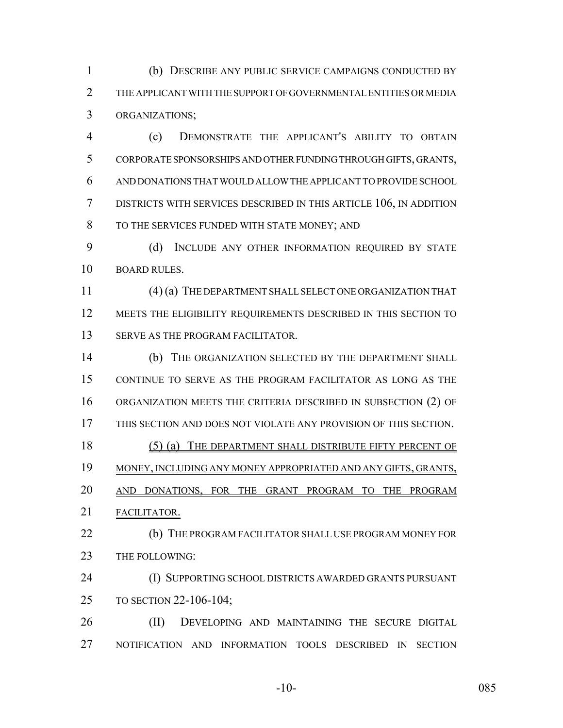(b) DESCRIBE ANY PUBLIC SERVICE CAMPAIGNS CONDUCTED BY THE APPLICANT WITH THE SUPPORT OF GOVERNMENTAL ENTITIES OR MEDIA ORGANIZATIONS;

 (c) DEMONSTRATE THE APPLICANT'S ABILITY TO OBTAIN CORPORATE SPONSORSHIPS AND OTHER FUNDING THROUGH GIFTS, GRANTS, AND DONATIONS THAT WOULD ALLOW THE APPLICANT TO PROVIDE SCHOOL DISTRICTS WITH SERVICES DESCRIBED IN THIS ARTICLE 106, IN ADDITION TO THE SERVICES FUNDED WITH STATE MONEY; AND

 (d) INCLUDE ANY OTHER INFORMATION REQUIRED BY STATE BOARD RULES.

 (4) (a) THE DEPARTMENT SHALL SELECT ONE ORGANIZATION THAT 12 MEETS THE ELIGIBILITY REQUIREMENTS DESCRIBED IN THIS SECTION TO 13 SERVE AS THE PROGRAM FACILITATOR.

 (b) THE ORGANIZATION SELECTED BY THE DEPARTMENT SHALL CONTINUE TO SERVE AS THE PROGRAM FACILITATOR AS LONG AS THE ORGANIZATION MEETS THE CRITERIA DESCRIBED IN SUBSECTION (2) OF THIS SECTION AND DOES NOT VIOLATE ANY PROVISION OF THIS SECTION. (5) (a) THE DEPARTMENT SHALL DISTRIBUTE FIFTY PERCENT OF MONEY, INCLUDING ANY MONEY APPROPRIATED AND ANY GIFTS, GRANTS, AND DONATIONS, FOR THE GRANT PROGRAM TO THE PROGRAM FACILITATOR. **(b)** THE PROGRAM FACILITATOR SHALL USE PROGRAM MONEY FOR 23 THE FOLLOWING: (I) SUPPORTING SCHOOL DISTRICTS AWARDED GRANTS PURSUANT TO SECTION 22-106-104; (II) DEVELOPING AND MAINTAINING THE SECURE DIGITAL

NOTIFICATION AND INFORMATION TOOLS DESCRIBED IN SECTION

-10- 085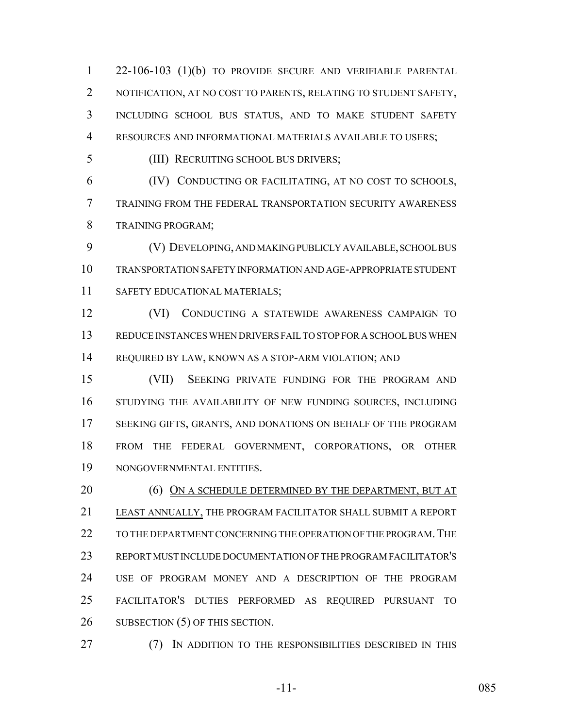22-106-103 (1)(b) TO PROVIDE SECURE AND VERIFIABLE PARENTAL NOTIFICATION, AT NO COST TO PARENTS, RELATING TO STUDENT SAFETY, INCLUDING SCHOOL BUS STATUS, AND TO MAKE STUDENT SAFETY RESOURCES AND INFORMATIONAL MATERIALS AVAILABLE TO USERS;

(III) RECRUITING SCHOOL BUS DRIVERS;

 (IV) CONDUCTING OR FACILITATING, AT NO COST TO SCHOOLS, TRAINING FROM THE FEDERAL TRANSPORTATION SECURITY AWARENESS TRAINING PROGRAM;

 (V) DEVELOPING, AND MAKING PUBLICLY AVAILABLE, SCHOOL BUS TRANSPORTATION SAFETY INFORMATION AND AGE-APPROPRIATE STUDENT 11 SAFETY EDUCATIONAL MATERIALS;

 (VI) CONDUCTING A STATEWIDE AWARENESS CAMPAIGN TO REDUCE INSTANCES WHEN DRIVERS FAIL TO STOP FOR A SCHOOL BUS WHEN REQUIRED BY LAW, KNOWN AS A STOP-ARM VIOLATION; AND

 (VII) SEEKING PRIVATE FUNDING FOR THE PROGRAM AND STUDYING THE AVAILABILITY OF NEW FUNDING SOURCES, INCLUDING SEEKING GIFTS, GRANTS, AND DONATIONS ON BEHALF OF THE PROGRAM FROM THE FEDERAL GOVERNMENT, CORPORATIONS, OR OTHER NONGOVERNMENTAL ENTITIES.

20 (6) ON A SCHEDULE DETERMINED BY THE DEPARTMENT, BUT AT LEAST ANNUALLY, THE PROGRAM FACILITATOR SHALL SUBMIT A REPORT 22 TO THE DEPARTMENT CONCERNING THE OPERATION OF THE PROGRAM. THE REPORT MUST INCLUDE DOCUMENTATION OF THE PROGRAM FACILITATOR'S USE OF PROGRAM MONEY AND A DESCRIPTION OF THE PROGRAM FACILITATOR'S DUTIES PERFORMED AS REQUIRED PURSUANT TO 26 SUBSECTION (5) OF THIS SECTION.

**(7)** IN ADDITION TO THE RESPONSIBILITIES DESCRIBED IN THIS

-11- 085